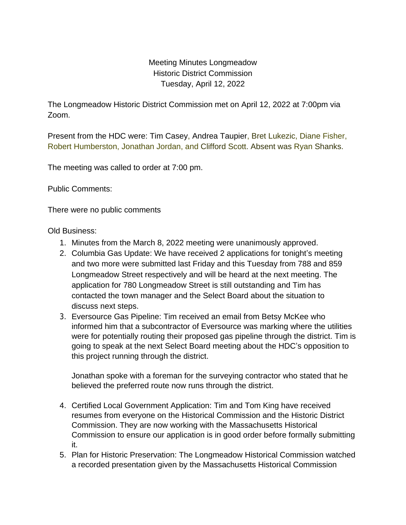Meeting Minutes Longmeadow Historic District Commission Tuesday, April 12, 2022

The Longmeadow Historic District Commission met on April 12, 2022 at 7:00pm via Zoom.

Present from the HDC were: Tim Casey, Andrea Taupier, Bret Lukezic, Diane Fisher, Robert Humberston, Jonathan Jordan, and Clifford Scott. Absent was Ryan Shanks.

The meeting was called to order at 7:00 pm.

Public Comments:

There were no public comments

Old Business:

- 1. Minutes from the March 8, 2022 meeting were unanimously approved.
- 2. Columbia Gas Update: We have received 2 applications for tonight's meeting and two more were submitted last Friday and this Tuesday from 788 and 859 Longmeadow Street respectively and will be heard at the next meeting. The application for 780 Longmeadow Street is still outstanding and Tim has contacted the town manager and the Select Board about the situation to discuss next steps.
- 3. Eversource Gas Pipeline: Tim received an email from Betsy McKee who informed him that a subcontractor of Eversource was marking where the utilities were for potentially routing their proposed gas pipeline through the district. Tim is going to speak at the next Select Board meeting about the HDC's opposition to this project running through the district.

Jonathan spoke with a foreman for the surveying contractor who stated that he believed the preferred route now runs through the district.

- 4. Certified Local Government Application: Tim and Tom King have received resumes from everyone on the Historical Commission and the Historic District Commission. They are now working with the Massachusetts Historical Commission to ensure our application is in good order before formally submitting it.
- 5. Plan for Historic Preservation: The Longmeadow Historical Commission watched a recorded presentation given by the Massachusetts Historical Commission